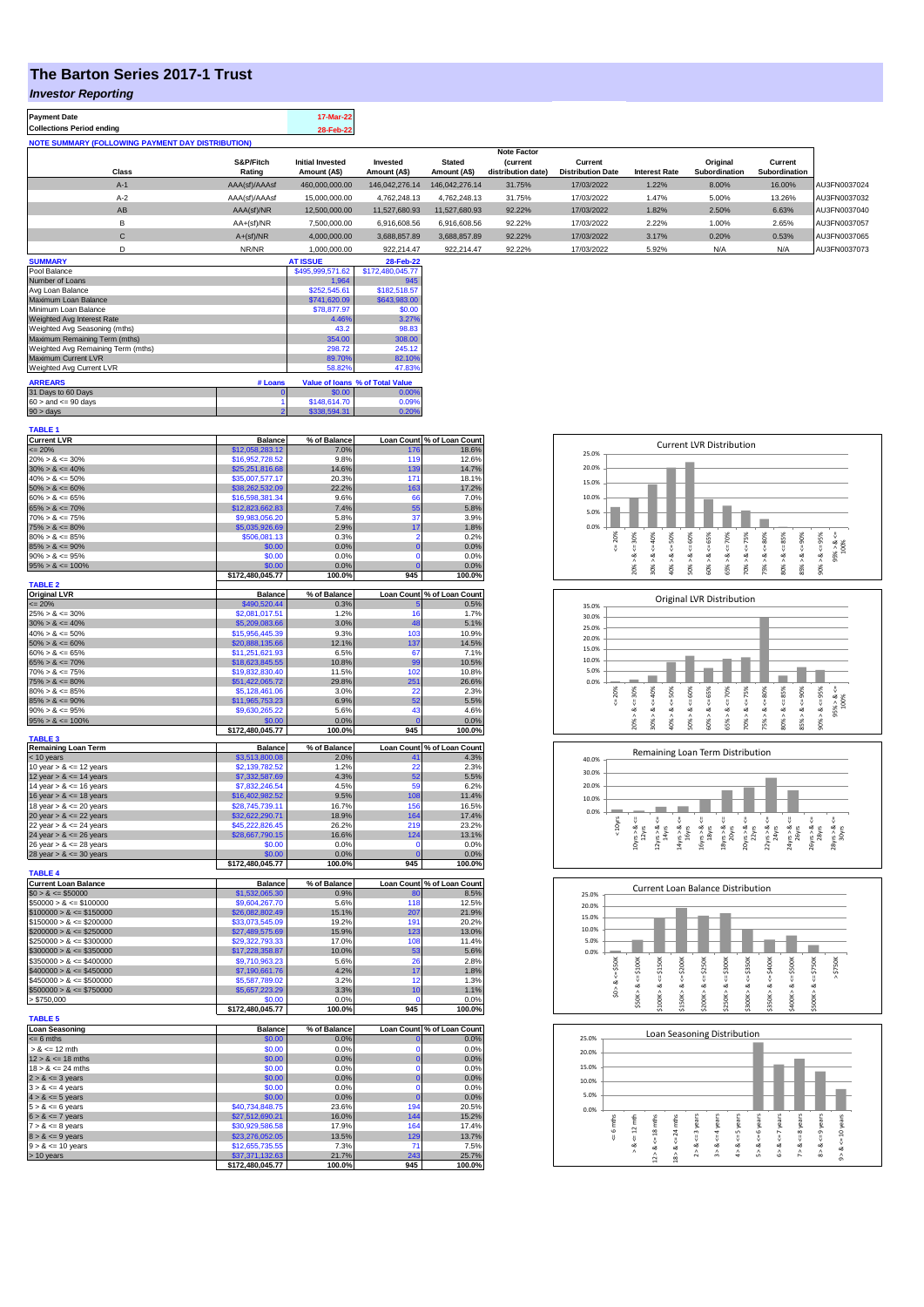## **The Barton Series 2017-1 Trust**

## *Investor Reporting*

| <b>Payment Date</b>                                      | 17-Mar-22 |
|----------------------------------------------------------|-----------|
| <b>Collections Period ending</b>                         | 28-Feb-22 |
| <b>NOTE SUMMARY (FOLLOWING PAYMENT DAY DISTRIBUTION)</b> |           |

|              |               |                         |                |                | <b>Note Factor</b> |                          |                      |               |               |              |
|--------------|---------------|-------------------------|----------------|----------------|--------------------|--------------------------|----------------------|---------------|---------------|--------------|
|              | S&P/Fitch     | <b>Initial Invested</b> | Invested       | <b>Stated</b>  | <b>(current</b>    | Current                  |                      | Original      | Current       |              |
| <b>Class</b> | Rating        | Amount (A\$)            | Amount (A\$)   | Amount (A\$)   | distribution date) | <b>Distribution Date</b> | <b>Interest Rate</b> | Subordination | Subordination |              |
| $A-1$        | AAA(sf)/AAAsf | 460,000,000.00          | 146.042.276.14 | 146.042.276.14 | 31.75%             | 17/03/2022               | 1.22%                | 8.00%         | 16.00%        | AU3FN0037024 |
| $A-2$        | AAA(sf)/AAAsf | 15,000,000,00           | 4.762.248.13   | 4.762.248.13   | 31.75%             | 17/03/2022               | 1.47%                | 5.00%         | 13.26%        | AU3FN0037032 |
| AB           | AAA(sf)/NR    | 12.500.000.00           | 11.527.680.93  | 11.527.680.93  | 92.22%             | 17/03/2022               | 1.82%                | 2.50%         | 6.63%         | AU3FN0037040 |
| B            | $AA+(sf)/NR$  | 7,500,000.00            | 6.916.608.56   | 6,916,608.56   | 92.22%             | 17/03/2022               | 2.22%                | 1.00%         | 2.65%         | AU3FN0037057 |
| $\mathbf{C}$ | $A+(sf)/NR$   | 4,000,000.00            | 3,688,857.89   | 3.688.857.89   | 92.22%             | 17/03/2022               | 3.17%                | 0.20%         | 0.53%         | AU3FN0037065 |
|              | NR/NR         | 1.000.000.00            | 922.214.47     | 922.214.47     | 92.22%             | 17/03/2022               | 5.92%                | N/A           | N/A           | AU3FN0037073 |
| A            |               | 17.50                   | $20 - 120$     |                |                    |                          |                      |               |               |              |

| <b>SUMMARY</b>                     |                | <b>AT ISSUE</b>  | 28-Feb-22                       |
|------------------------------------|----------------|------------------|---------------------------------|
| Pool Balance                       |                | \$495,999,571.62 | \$172,480,045.77                |
| Number of Loans                    |                | 1.964            | 945                             |
| Avg Loan Balance                   |                | \$252,545.61     | \$182,518.57                    |
| Maximum Loan Balance               |                | \$741,620.09     | \$643,983.00                    |
| Minimum Loan Balance               |                | \$78,877.97      | \$0.00                          |
| Weighted Avg Interest Rate         |                | 4.46%            | 3.27%                           |
| Weighted Avg Seasoning (mths)      |                | 43.2             | 98.83                           |
| Maximum Remaining Term (mths)      |                | 354.00           | 308.00                          |
| Weighted Avg Remaining Term (mths) |                | 298.72           | 245.12                          |
| Maximum Current LVR                |                | 89.70%           | 82.10%                          |
| Weighted Avg Current LVR           |                | 58.82%           | 47.83%                          |
| <b>ARREARS</b>                     | # Loans        |                  | Value of Ioans % of Total Value |
| 31 Days to 60 Days                 | o              | \$0.00           | 0.00%                           |
| $60 >$ and $\leq 90$ days          |                | \$148,614.70     | 0.09%                           |
| $90 >$ days                        | $\overline{2}$ | \$338,594.31     | 0.20%                           |

| <b>TABLE 1</b>              |                  |              |                         |                            |
|-----------------------------|------------------|--------------|-------------------------|----------------------------|
| <b>Current LVR</b>          | <b>Balance</b>   | % of Balance |                         | Loan Count % of Loan Count |
| $= 20%$                     | \$12,058,283.12  | 7.0%         | 176                     | 18.6%                      |
| $20\% > 8 \le 30\%$         | \$16,952,728.52  | 9.8%         | 119                     | 12.6%                      |
| $30\% > 8 \le 40\%$         | \$25,251,816.68  | 14.6%        | 139                     | 14.7%                      |
| $40\% > 8 \le 50\%$         | \$35,007,577.17  | 20.3%        | 171                     | 18.1%                      |
| $50\% > 8 \le 60\%$         | \$38,262,532.09  | 22.2%        | 163                     | 17.2%                      |
|                             |                  |              |                         |                            |
| $60\% > 8 \le 65\%$         | \$16,598,381.34  | 9.6%         | 66                      | 7.0%                       |
| $65\% > 8 \le 70\%$         | \$12,823,662.83  | 7.4%         | 55                      | 5.8%                       |
| $70\% > 8 \le 75\%$         | \$9,983,056.20   | 5.8%         | 37                      | 3.9%                       |
| $75\% > 8 \le 80\%$         | \$5,035,926.69   | 2.9%         | 17                      | 1.8%                       |
| $80\% > 8 \le 85\%$         | \$506,081.13     | 0.3%         | 2                       | 0.2%                       |
| $85\% > 8 \le 90\%$         | \$0.00           | 0.0%         | $\mathbf 0$             | 0.0%                       |
| $90\% > 8 \le 95\%$         | \$0.00           | 0.0%         | $\mathbf 0$             | 0.0%                       |
| $95\% > 8 \le 100\%$        | \$0.00           | 0.0%         | $\mathbf 0$             | 0.0%                       |
|                             | \$172,480,045.77 | 100.0%       | 945                     | 100.0%                     |
| <b>TABLE 2</b>              |                  |              |                         |                            |
| <b>Original LVR</b>         |                  |              |                         |                            |
|                             | <b>Balance</b>   | % of Balance |                         | Loan Count % of Loan Count |
| $= 20%$                     | \$490,520.44     | 0.3%         |                         | 0.5%                       |
| $25\% > 8 \le 30\%$         | \$2,081,017.51   | 1.2%         | 16                      | 1.7%                       |
| $30\% > 8 \le 40\%$         | \$5,209,083.66   | 3.0%         | 48                      | 5.1%                       |
| $40\% > 8 \le 50\%$         | \$15,956,445.39  | 9.3%         | 103                     | 10.9%                      |
| $50\% > 8 \le 60\%$         | \$20,888,135.66  | 12.1%        | 137                     | 14.5%                      |
| $60\% > 8 \le 65\%$         | \$11,251,621.93  | 6.5%         | 67                      | 7.1%                       |
| $65\% > 8 \le 70\%$         | \$18,623,845.55  | 10.8%        | 99                      | 10.5%                      |
| $70\% > 8 \le 75\%$         | \$19,832,830.40  | 11.5%        | 102                     | 10.8%                      |
|                             |                  |              |                         |                            |
| $75\% > 8 \le 80\%$         | \$51,422,065.72  | 29.8%        | 251                     | 26.6%                      |
| $80\% > 8 \le 85\%$         | \$5,128,461.06   | 3.0%         | 22                      | 2.3%                       |
| $85\% > 8 \le 90\%$         | \$11,965,753.23  | 6.9%         | 52                      | 5.5%                       |
| $90\% > 8 \le 95\%$         | \$9,630,265.22   | 5.6%         | 43                      | 4.6%                       |
| $95\% > 8 \le 100\%$        | \$0.00           | 0.0%         | $\overline{0}$          | 0.0%                       |
|                             | \$172,480,045.77 | 100.0%       | 945                     | 100.0%                     |
| <b>TABLE 3</b>              |                  |              |                         |                            |
| <b>Remaining Loan Term</b>  | <b>Balance</b>   | % of Balance |                         | Loan Count % of Loan Count |
| $<$ 10 years                | \$3,513,800.08   | 2.0%         | 41                      | 4.3%                       |
| 10 year $> 8 \le 12$ years  | \$2,139,782.52   | 1.2%         | 22                      | 2.3%                       |
| 12 year $> 8 \le 14$ years  | \$7,332,587.69   | 4.3%         | 52                      | 5.5%                       |
|                             |                  | 4.5%         |                         |                            |
| 14 year $> 8 \le 16$ years  | \$7,832,246.54   |              | 59                      | 6.2%                       |
| 16 year $> 8 \le 18$ years  | \$16,402,982.52  | 9.5%         | 108                     | 11.4%                      |
| 18 year $> 8 \le 20$ years  | \$28,745,739.11  | 16.7%        | 156                     | 16.5%                      |
| 20 year $> 8 \le 22$ years  | \$32,622,290.71  | 18.9%        | 164                     | 17.4%                      |
| 22 year $> 8 \le 24$ years  | \$45,222,826.45  | 26.2%        | 219                     | 23.2%                      |
| 24 year $> 8 \le 26$ years  | \$28,667,790.15  | 16.6%        | 124                     | 13.1%                      |
| 26 year $> 8 \le 28$ years  | \$0.00           | 0.0%         | Ō                       | 0.0%                       |
|                             | \$0.00           | 0.0%         | $\overline{0}$          | 0.0%                       |
| 28 year $> 8 \le 30$ years  |                  | 100.0%       |                         | 100.0%                     |
|                             | \$172,480,045.77 |              | 945                     |                            |
| <b>TABLE 4</b>              |                  |              |                         |                            |
| <b>Current Loan Balance</b> | <b>Balance</b>   | % of Balance | <b>Loan Count</b>       | % of Loan Count            |
| $$0 > 8 \le $50000$         | \$1,532,065.30   | 0.9%         | 80                      | 8.5%                       |
| $$50000 > 8 \le $100000$    | \$9,604,267.70   | 5.6%         | 118                     | 12.5%                      |
| $$100000 > 8 \le $150000$   | \$26,082,802.49  | 15.1%        | 207                     | 21.9%                      |
| $$150000 > 8 \le $200000$   | \$33,073,545.09  | 19.2%        | 191                     | 20.2%                      |
| $$200000 > 8 \le $250000$   | \$27,489,575.69  | 15.9%        | 123                     | 13.0%                      |
| $$250000 > 8 \le $300000$   | \$29,322,793.33  | 17.0%        | 108                     | 11.4%                      |
| $$300000 > 8 \leq $350000$  | \$17,228,358.87  | 10.0%        | 53                      | 5.6%                       |
|                             |                  |              |                         |                            |
| $$350000 > 8 \le $400000$   | \$9,710,963.23   | 5.6%         | 26                      | 2.8%                       |
| $$400000 > 8 \le $450000$   | \$7,190,661.76   | 4.2%         | 17                      | 1.8%                       |
| $$450000 > 8 \le $500000$   | \$5,587,789.02   | 3.2%         | 12                      | 1.3%                       |
| $$500000 > 8 \le $750000$   | \$5,657,223.29   | 3.3%         | 10                      | 1.1%                       |
| > \$750,000                 | \$0.00           | 0.0%         | O                       | 0.0%                       |
|                             | \$172,480,045.77 | 100.0%       | 945                     | 100.0%                     |
| <b>TABLE 5</b>              |                  |              |                         |                            |
| <b>Loan Seasoning</b>       | <b>Balance</b>   | % of Balance |                         | Loan Count % of Loan Count |
|                             |                  |              |                         |                            |
| $= 6$ mths                  | \$0.00           | 0.0%         | $\mathbf 0$<br>$\Omega$ | 0.0%                       |
| $> 8 \le 12$ mth            | \$0.00           | 0.0%         |                         | 0.0%                       |
| $12 > 8 \le 18$ mths        | \$0.00           | 0.0%         | $\mathbf 0$             | 0.0%                       |
| $18 > 8 \le 24$ mths        | \$0.00           | 0.0%         | $\Omega$                | 0.0%                       |
| $2 > 8 \le 3$ years         | \$0.00           | 0.0%         | $\mathbf 0$             | 0.0%                       |
| $3 > 8 \le 4$ years         | \$0.00           | 0.0%         | $\mathbf 0$             | 0.0%                       |
| $4 > 8 \le 5$ years         | \$0.00           | 0.0%         | $\mathbf 0$             | 0.0%                       |
| $5 > 8 \le 6$ years         | \$40,734,848.75  | 23.6%        | 194                     | 20.5%                      |
|                             |                  |              | 144                     |                            |
| $6 > 8 \le 7$ years         | \$27,512,690.21  | 16.0%        |                         | 15.2%                      |
| $7 > 8 \le 8$ years         | \$30,929,586.58  | 17.9%        | 164                     | 17.4%                      |
| $8 > 8 \le 9$ years         | \$23,276,052.05  | 13.5%        | 129                     | 13.7%                      |
| $9 > 8 \le 10$ years        | \$12,655,735.55  | 7.3%         | 71                      | 7.5%                       |
| > 10 years                  | \$37,371,132.63  | 21.7%        | 243                     | 25.7%                      |
|                             |                  |              |                         |                            |
|                             | \$172,480,045.77 | 100.0%       | 945                     | 100.0%                     |







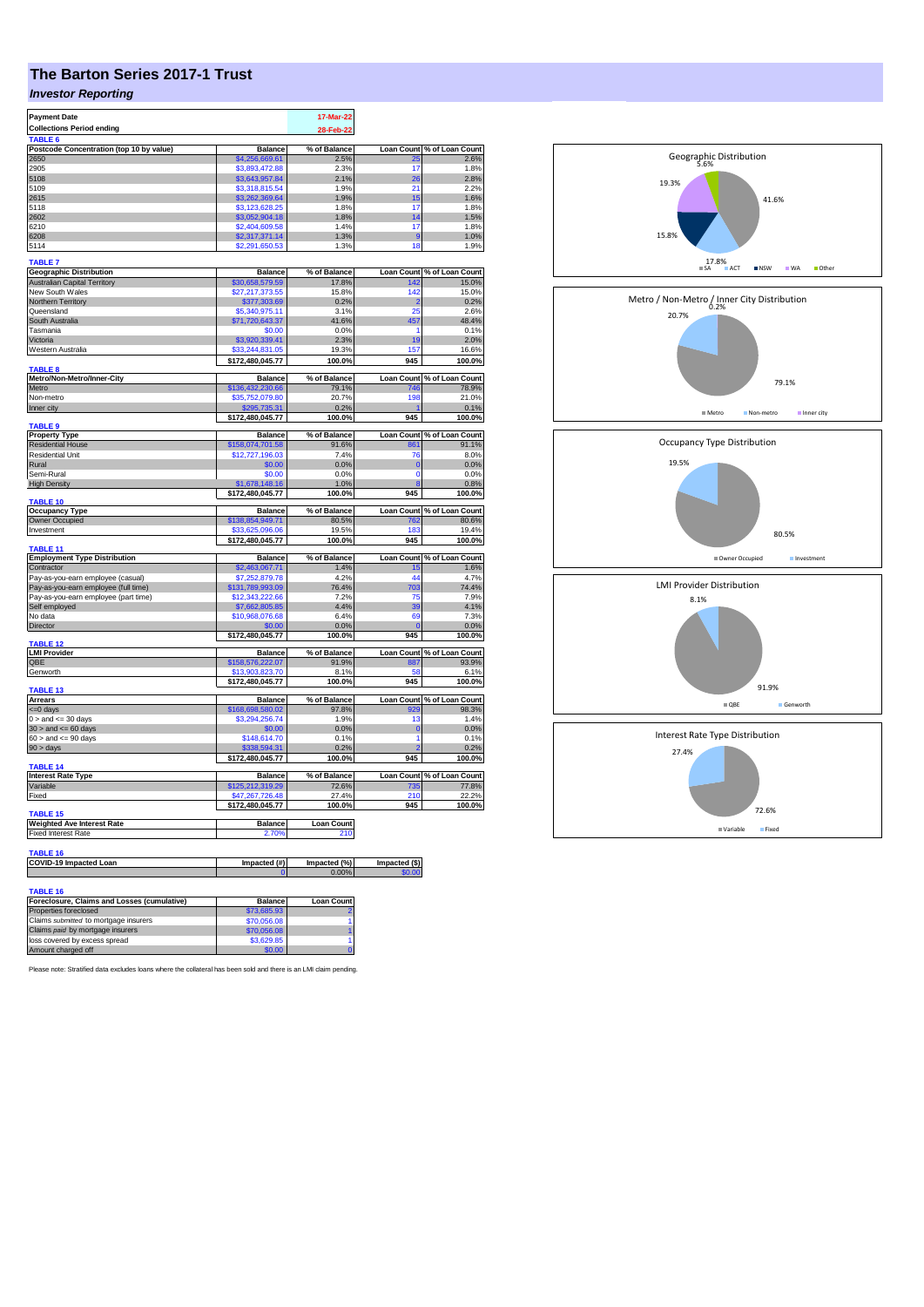## **The Barton Series 2017-1 Trust**

## *Investor Reporting*

| <b>Payment Date</b>                                                          |                                     | 17-Mar-22             |                               |                            |
|------------------------------------------------------------------------------|-------------------------------------|-----------------------|-------------------------------|----------------------------|
| <b>Collections Period ending</b>                                             |                                     | 28-Feb-22             |                               |                            |
| TABLE <sub>6</sub>                                                           |                                     |                       |                               |                            |
| Postcode Concentration (top 10 by value)                                     | <b>Balance</b>                      | % of Balance          | <b>Loan Count</b>             | of Loan Count<br>2.6%      |
| 2650                                                                         | \$4,256,669.61                      | 2.5%                  |                               |                            |
| 2905<br>5108                                                                 | \$3,893,472.88<br>\$3,643,957.84    | 2.3%<br>2.1%          | 17<br>26                      | 1.8%<br>2.8%               |
| 5109                                                                         | \$3,318,815.54                      | 1.9%                  | 21                            | 2.2%                       |
| 2615                                                                         | \$3,262,369.64                      | 1.9%                  | 15                            | 1.6%                       |
| 5118                                                                         | \$3,123,628.25                      | 1.8%                  | 17                            | 1.8%                       |
| 2602                                                                         | \$3,052,904.18                      | 1.8%                  | 14                            | 1.5%                       |
| 6210                                                                         | \$2,404,609.58                      | 1.4%                  | 17                            | 1.8%                       |
| 6208                                                                         | \$2,317,371.14                      | 1.3%                  | 9                             | 1.0%                       |
| 5114                                                                         | \$2,291,650.53                      | 1.3%                  | 18                            | 1.9%                       |
| <b>TABLE 7</b>                                                               |                                     |                       |                               |                            |
| <b>Geographic Distribution</b>                                               | <b>Balance</b>                      | % of Balance          | <b>Loan Count</b>             | % of Loan Count            |
| <b>Australian Capital Territory</b>                                          | \$30,658,579.59                     | 17.8%                 | 142                           | 15.0%                      |
| New South Wales                                                              | \$27,217,373.55                     | 15.8%                 | 142                           | 15.0%                      |
| Northern Territory                                                           | \$377,303.69                        | 0.2%                  | 2                             | 0.2%                       |
| Queensland                                                                   | \$5,340,975.11                      | 3.1%                  | 25                            | 2.6%                       |
| South Australia                                                              | \$71,720,643.37                     | 41.6%                 | 457                           | 48.4%                      |
| Tasmania                                                                     | \$0.00                              | 0.0%                  | 1                             | 0.1%                       |
| Victoria                                                                     | \$3,920,339.41                      | 2.3%                  | 19                            | 2.0%                       |
| Western Australia                                                            | \$33,244,831.05                     | 19.3%                 | 157                           | 16.6%                      |
|                                                                              | \$172,480,045.77                    | 100.0%                | 945                           | 100.0%                     |
| <b>TABLE 8</b><br>Metro/Non-Metro/Inner-City                                 | <b>Balance</b>                      | % of Balance          | <b>Loan Count</b>             | % of Loan Count            |
| Metro                                                                        | \$136.432.230.66                    | 79.1%                 |                               | 78.9%                      |
| Non-metro                                                                    | \$35,752,079.80                     | 20.7%                 | 198                           | 21.0%                      |
| Inner city                                                                   | \$295,735.31                        | 0.2%                  |                               | 0.1%                       |
|                                                                              | \$172,480,045.77                    | 100.0%                | 945                           | 100.0%                     |
| <b>TABLE 9</b>                                                               |                                     |                       |                               |                            |
| <b>Property Type</b>                                                         | <b>Balance</b>                      | % of Balance          |                               | Loan Count % of Loan Count |
| <b>Residential House</b>                                                     | \$158,074,701.58                    | 91.6%                 | 861                           | 91.1%                      |
| Residential Unit                                                             | \$12,727,196.03                     | 7.4%                  | 76                            | 8.0%                       |
| Rural<br>Semi-Rural                                                          | \$0.00<br>\$0.00                    | 0.0%<br>0.0%          | $\overline{0}$<br>$\mathbf 0$ | 0.0%<br>0.0%               |
| <b>High Density</b>                                                          | 148.16<br>\$1 678                   | 1.0%                  |                               | 0.8%                       |
|                                                                              | \$172,480,045.77                    | 100.0%                | 945                           | 100.0%                     |
| TABLE 10                                                                     |                                     |                       |                               |                            |
| <b>Occupancy Type</b>                                                        | <b>Balance</b>                      | % of Balance          |                               | Loan Count % of Loan Count |
| <b>Owner Occupied</b>                                                        | \$138,854,949.71                    | 80.5%                 | 762                           | 80.6%                      |
| Investment                                                                   | \$33,625,096.06                     | 19.5%                 | 183                           | 19.4%                      |
| TABLE 11                                                                     | \$172,480,045.77                    | 100.0%                | 945                           | 100.0%                     |
| <b>Employment Type Distribution</b>                                          | <b>Balance</b>                      | % of Balance          |                               | % of Loan Count            |
| Contractor                                                                   |                                     |                       |                               |                            |
|                                                                              |                                     |                       | Loan Count                    |                            |
|                                                                              | \$2,463,067.71                      | 1.4%<br>4.2%          | 15<br>44                      | 1.6%<br>4.7%               |
| Pay-as-you-earn employee (casual)                                            | \$7,252,879.78                      | 76.4%                 |                               | 74.4%                      |
| Pay-as-you-earn employee (full time)<br>Pay-as-you-earn employee (part time) | \$131,789,993.09<br>\$12,343,222.66 | 7.2%                  | 703<br>75                     | 7.9%                       |
| Self employed                                                                | \$7,662,805.85                      | 4.4%                  | 39                            | 4.1%                       |
| No data                                                                      | \$10,968,076.68                     | 6.4%                  | 69                            | 7.3%                       |
| Director                                                                     | \$0.00                              | 0.0%                  | $\mathbf{0}$                  | 0.0%                       |
|                                                                              | \$172,480,045.77                    | 100.0%                | 945                           | 100.0%                     |
| TARI F 12                                                                    |                                     |                       |                               |                            |
| <b>LMI Provider</b>                                                          | <b>Balance</b>                      | % of Balance          |                               | Loan Count % of Loan Count |
| QBE                                                                          | \$158,576,222.07                    | 91.9%                 | 887<br>58                     | 93.9%                      |
| Genworth                                                                     | \$13,903,823.70<br>\$172,480,045.77 | 8.1%<br>100.0%        | 945                           | 6.1%<br>100.0%             |
| TABLE 13                                                                     |                                     |                       |                               |                            |
| <b>Arrears</b>                                                               | <b>Balance</b>                      | % of Balance          |                               | Loan Count % of Loan Count |
| <= 0 days                                                                    | \$168,698,580.02                    | 97.8%                 |                               | 98.3%                      |
| $0 >$ and $\leq 30$ days                                                     | \$3,294,256.74                      | 1.9%                  | 13                            | 1.4%                       |
| $30 >$ and $\leq 60$ days                                                    | \$0.00                              | 0.0%                  | $\overline{0}$                | 0.0%                       |
| $60 >$ and $\leq 90$ days                                                    | \$148,614.70                        | 0.1%                  | 1                             | 0.1%                       |
| 90 > days                                                                    | \$338,594.31                        | 0.2%                  |                               | 0.2%                       |
|                                                                              | \$172,480,045.77                    | 100.0%                | 945                           | 100.0%                     |
| TABLE 14                                                                     | <b>Balance</b>                      | % of Balance          |                               | Loan Count % of Loan Count |
| <b>Interest Rate Type</b><br>Variable                                        | \$125,212,319.29                    | 72.6%                 | 735                           | 77.8%                      |
| Fixed                                                                        | \$47,267,726.48                     | 27.4%                 | 210                           | 22.2%                      |
|                                                                              | \$172,480,045.77                    | 100.0%                | 945                           | 100.0%                     |
| TABLE 15                                                                     |                                     |                       |                               |                            |
| <b>Weighted Ave Interest Rate</b>                                            | <b>Balance</b>                      | <b>Loan Count</b>     |                               |                            |
| <b>Fixed Interest Rate</b>                                                   | 2.70%                               | 210                   |                               |                            |
|                                                                              |                                     |                       |                               |                            |
| TABLE 16                                                                     |                                     |                       |                               |                            |
| COVID-19 Impacted Loan                                                       | Impacted (#)                        | Impacted (%)<br>0.00% | Impacted (\$)<br>\$0.00       |                            |
|                                                                              |                                     |                       |                               |                            |
| <b>TABLE 16</b>                                                              |                                     |                       |                               |                            |

| Foreclosure, Claims and Losses (cumulative) | <b>Balance</b> | <b>Loan Count</b> |
|---------------------------------------------|----------------|-------------------|
| Properties foreclosed                       | \$73,685,93    |                   |
| Claims submitted to mortgage insurers       | \$70,056,08    |                   |
| Claims paid by mortgage insurers            | \$70,056.08    |                   |
| loss covered by excess spread               | \$3,629.85     |                   |
| Amount charged off                          | \$0.00         |                   |

Please note: Stratified data excludes loans where the collateral has been sold and there is an LMI claim pending.